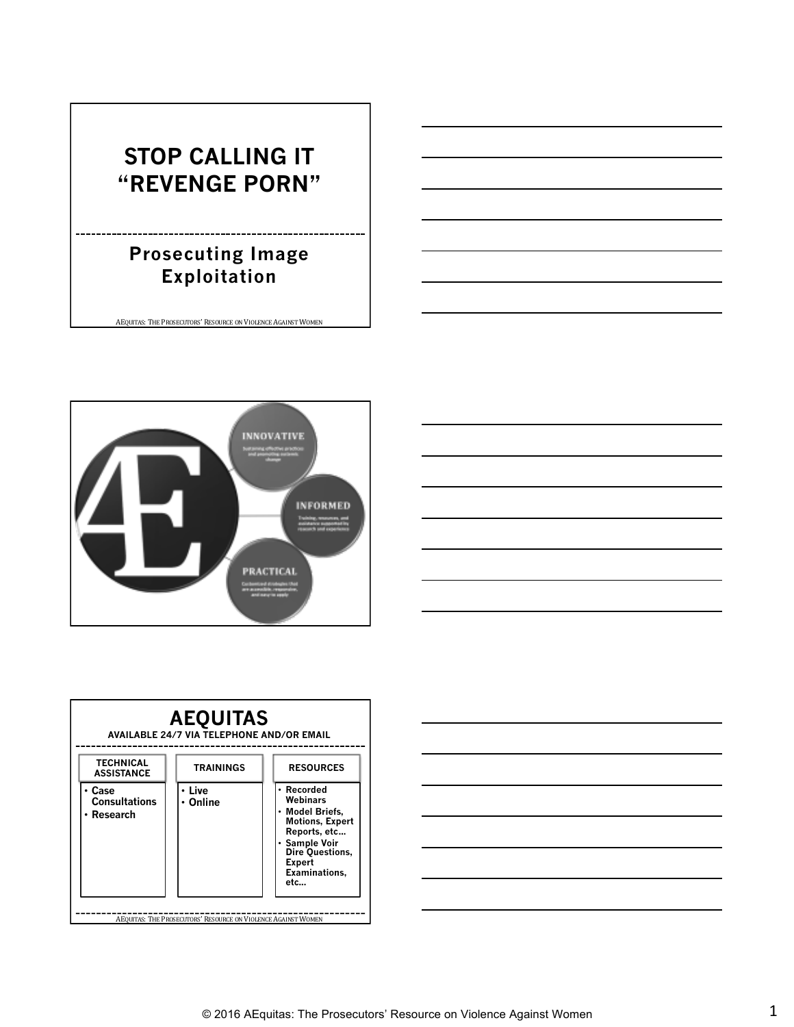# **STOP CALLING IT "REVENGE PORN"**

### **Prosecuting Image Exploitation**







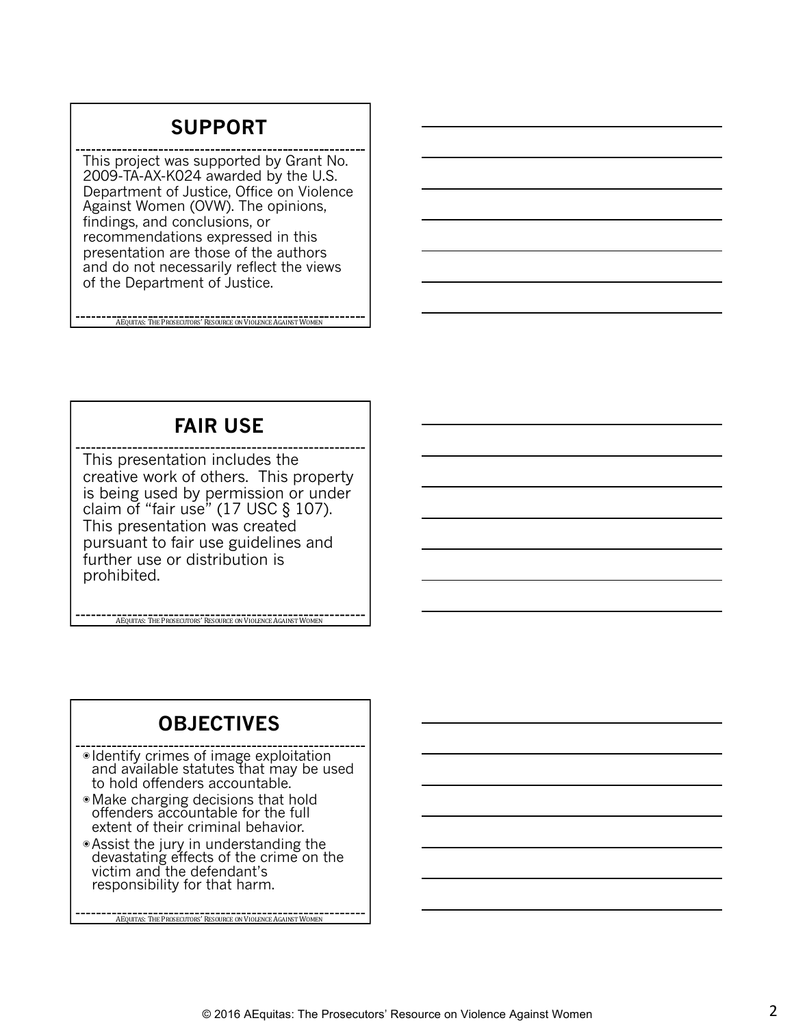## **SUPPORT**

This project was supported by Grant No. 2009-TA-AX-K024 awarded by the U.S. Department of Justice, Office on Violence Against Women (OVW). The opinions, findings, and conclusions, or recommendations expressed in this presentation are those of the authors and do not necessarily reflect the views of the Department of Justice.

AEQUITAS: THE PROSECUTORS' RESOURCE ON VIOLENCE AGAINST WOMEN

## **FAIR USE**

This presentation includes the creative work of others. This property is being used by permission or under claim of "fair use" (17 USC § 107). This presentation was created pursuant to fair use guidelines and further use or distribution is prohibited.

**AEQUITAS:** THE PROSECUTORS' RESOURCE ON VIOLENCE AGAINST WOMEN

### **OBJECTIVES**

◉ Identify crimes of image exploitation and available statutes that may be used to hold offenders accountable.

- ◉Make charging decisions that hold offenders accountable for the full extent of their criminal behavior.
- ◉Assist the jury in understanding the devastating effects of the crime on the victim and the defendant's responsibility for that harm.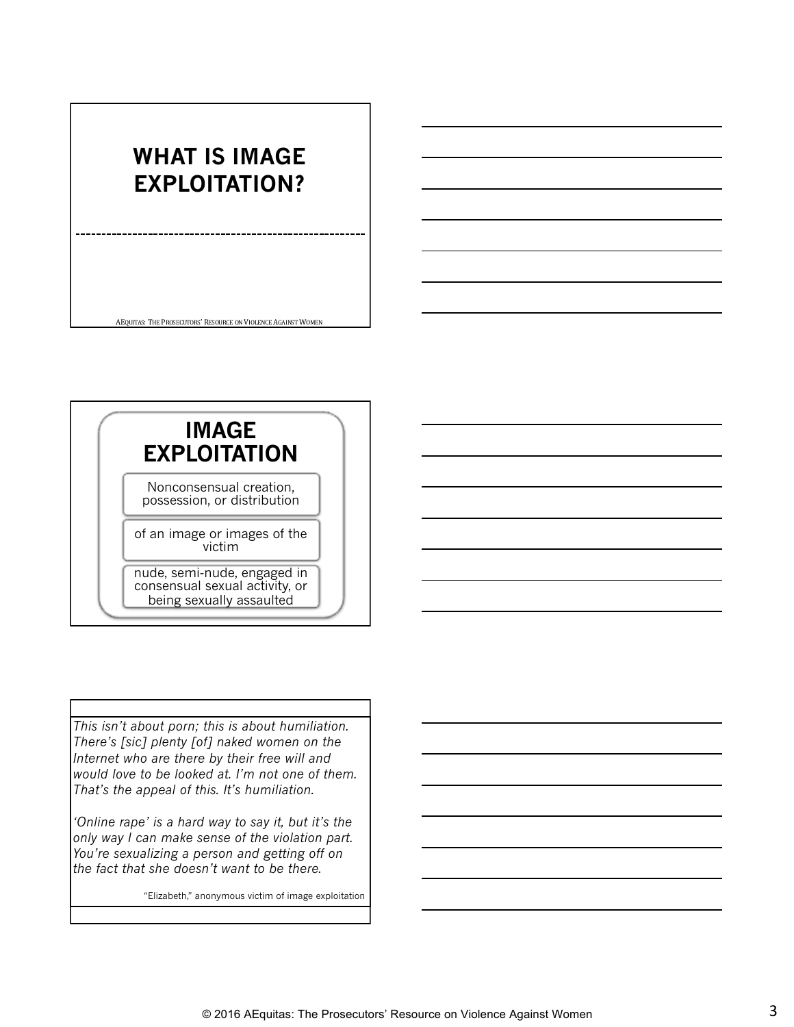# **WHAT IS IMAGE EXPLOITATION?**

AEQUITAS: THE PROSECUTORS' RESOURCE ON VIOLENCE AGAINST WOMEN

#### **IMAGE EXPLOITATION** Nonconsensual creation, possession, or distribution of an image or images of the victim nude, semi-nude, engaged in consensual sexual activity, or being sexually assaulted

*This isn't about porn; this is about humiliation. There's [sic] plenty [of] naked women on the Internet who are there by their free will and would love to be looked at. I'm not one of them. That's the appeal of this. It's humiliation.*

*'Online rape' is a hard way to say it, but it's the only way I can make sense of the violation part. You're sexualizing a person and getting off on the fact that she doesn't want to be there.*

"Elizabeth," anonymous victim of image exploitation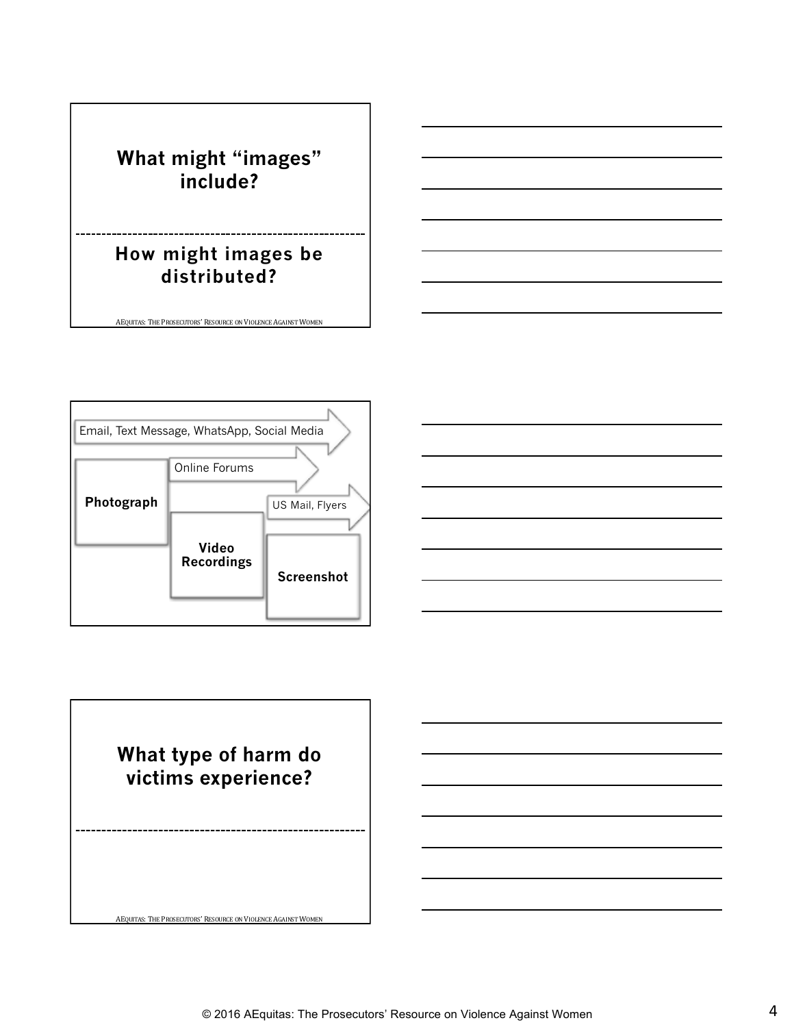## **What might "images" include?**

## **How might images be distributed?**

AEQUITAS: THE PROSECUTORS' RESOURCE ON VIOLENCE AGAINST WOMEN





### **What type of harm do victims experience?**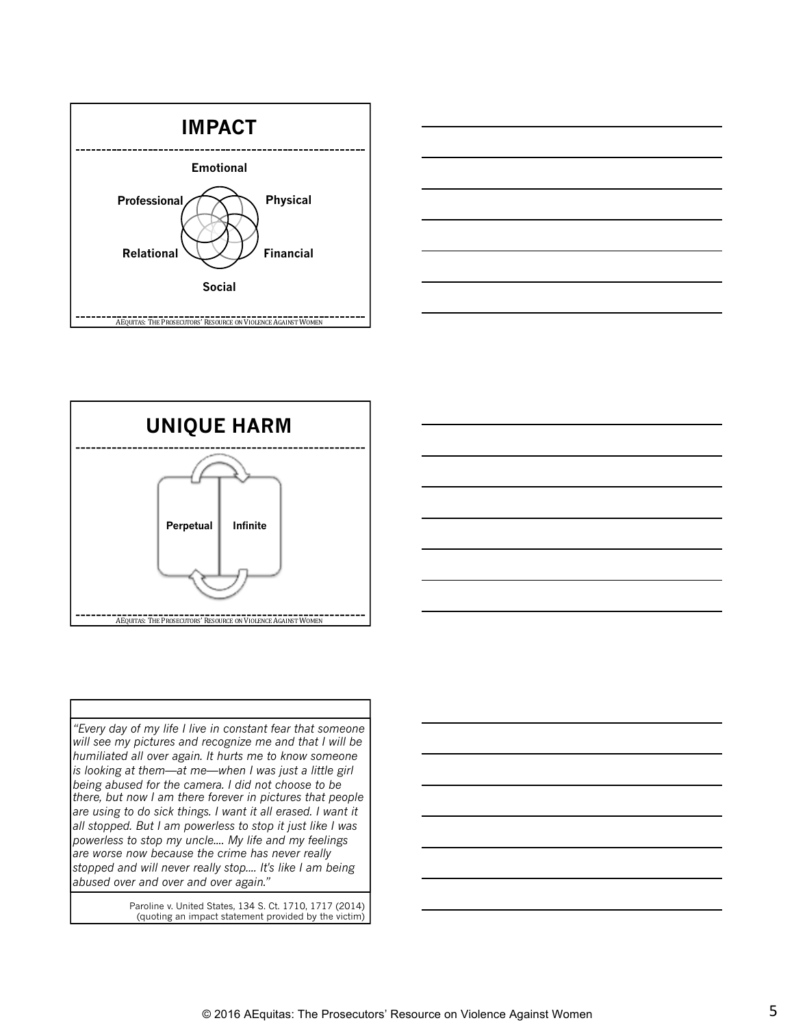







*"Every day of my life I live in constant fear that someone will see my pictures and recognize me and that I will be humiliated all over again. It hurts me to know someone is looking at them—at me—when I was just a little girl being abused for the camera. I did not choose to be there, but now I am there forever in pictures that people are using to do sick things. I want it all erased. I want it all stopped. But I am powerless to stop it just like I was powerless to stop my uncle.... My life and my feelings are worse now because the crime has never really stopped and will never really stop.... It's like I am being abused over and over and over again."*

> Paroline v. United States, 134 S. Ct. 1710, 1717 (2014) (quoting an impact statement provided by the victim)

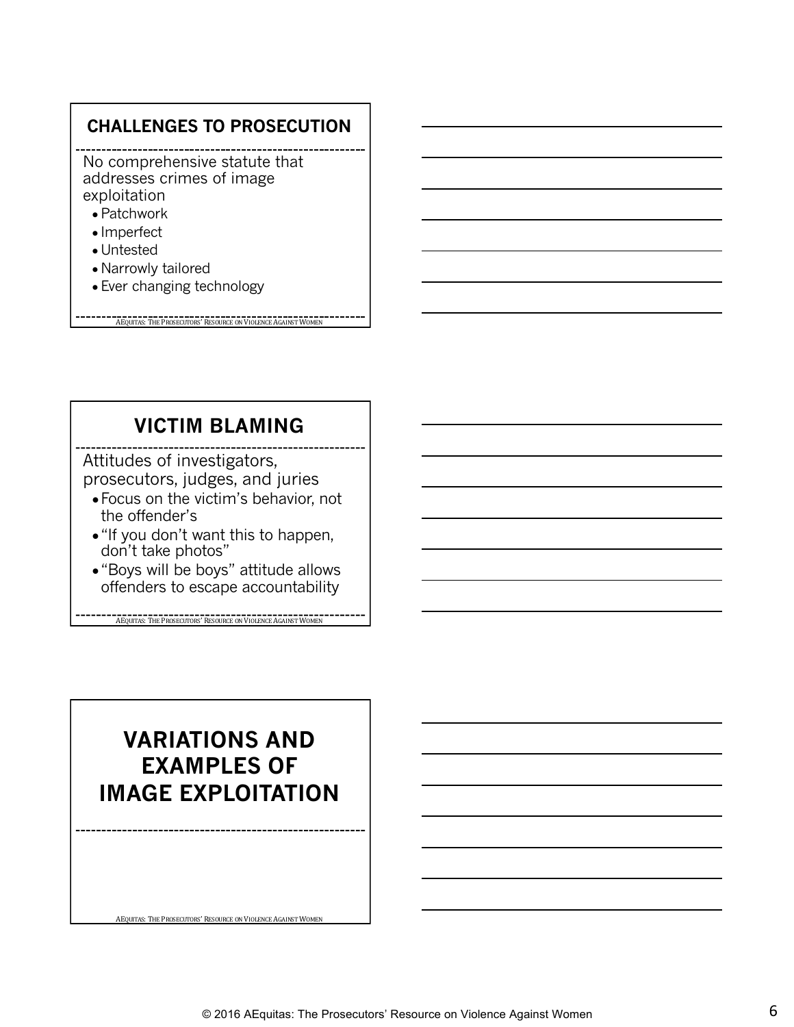#### **CHALLENGES TO PROSECUTION**

No comprehensive statute that addresses crimes of image exploitation

- Patchwork
- Imperfect
- Untested
- Narrowly tailored
- Ever changing technology

AEQUITAS: THE PROSECUTORS' RESOURCE ON VIOLENCE AGAINST WOMEN

### **VICTIM BLAMING**

Attitudes of investigators, prosecutors, judges, and juries

- ●Focus on the victim's behavior, not the offender's
- ●"If you don't want this to happen, don't take photos"
- ●"Boys will be boys" attitude allows offenders to escape accountability

**AEQUITAS: THE PROSECUTORS' RESOURCE ON VIOLENCE AGAINST WOMEN** 

## **VARIATIONS AND EXAMPLES OF IMAGE EXPLOITATION**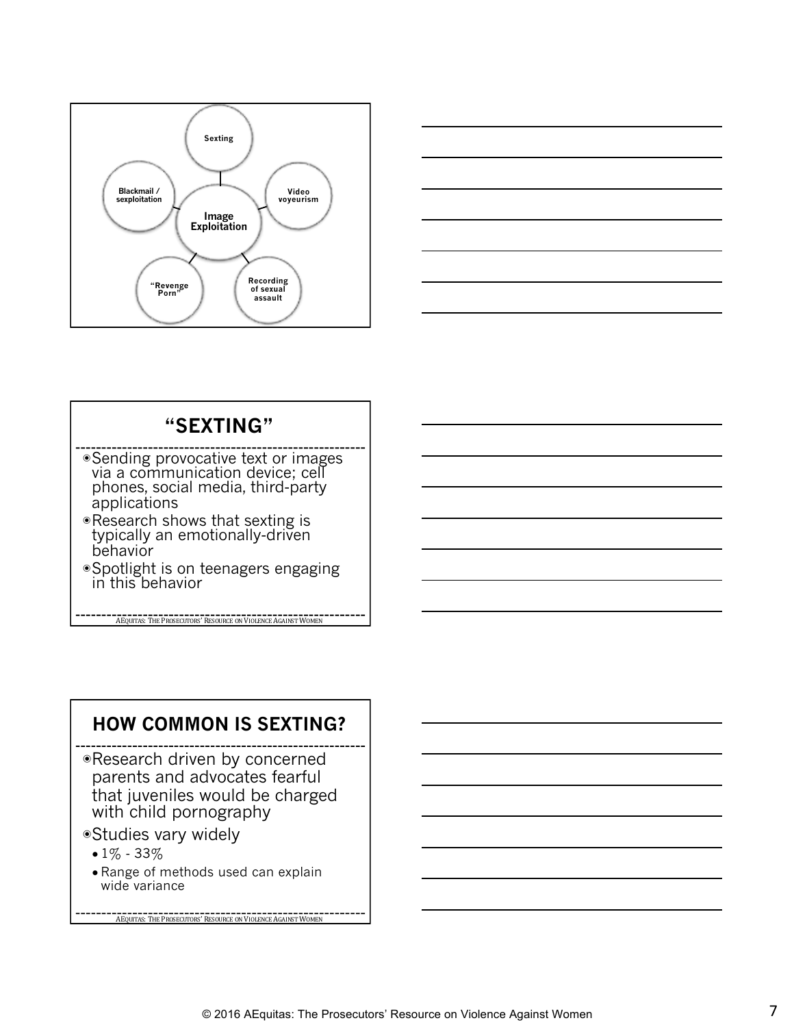



#### **"SEXTING"**

- ◉Sending provocative text or images via a communication device; cell phones, social media, third-party applications
- ◉Research shows that sexting is typically an emotionally-driven behavior
- ◉Spotlight is on teenagers engaging in this behavior

**AEQUITAS: THE PROSECUTORS' RESOURCE ON VIOLENCE AGAINST WOMEN** 

### **HOW COMMON IS SEXTING?**

- ◉Research driven by concerned parents and advocates fearful that juveniles would be charged with child pornography
- ◉Studies vary widely
	- $1\% 33\%$
	- Range of methods used can explain wide variance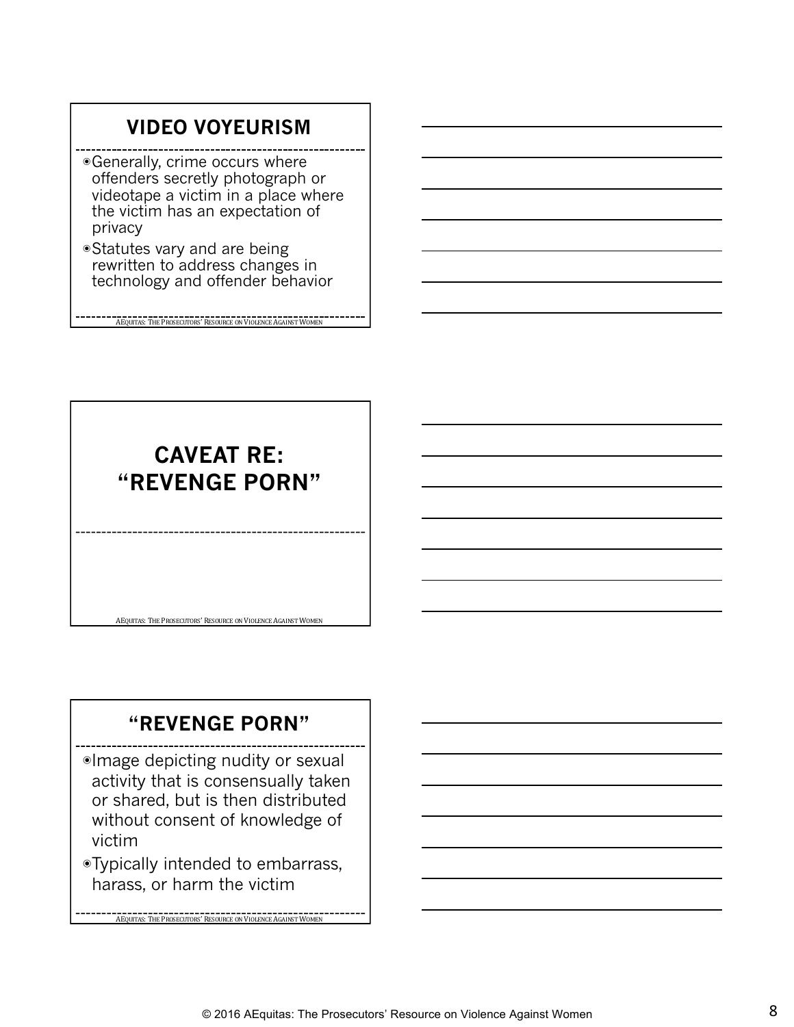## **VIDEO VOYEURISM**

- ◉Generally, crime occurs where offenders secretly photograph or videotape a victim in a place where the victim has an expectation of privacy
- ◉Statutes vary and are being rewritten to address changes in technology and offender behavior

**AEQUITAS: THE PROSECUTORS' RESOURCE ON VIOLENCE AGAINST WOMEN** 

**CAVEAT RE: "REVENGE PORN"**

### **"REVENGE PORN"**

AEQUITAS: THE PROSECUTORS' RESOURCE ON VIOLENCE AGAINST WOMEN

◉Image depicting nudity or sexual activity that is consensually taken or shared, but is then distributed without consent of knowledge of victim

◉Typically intended to embarrass, harass, or harm the victim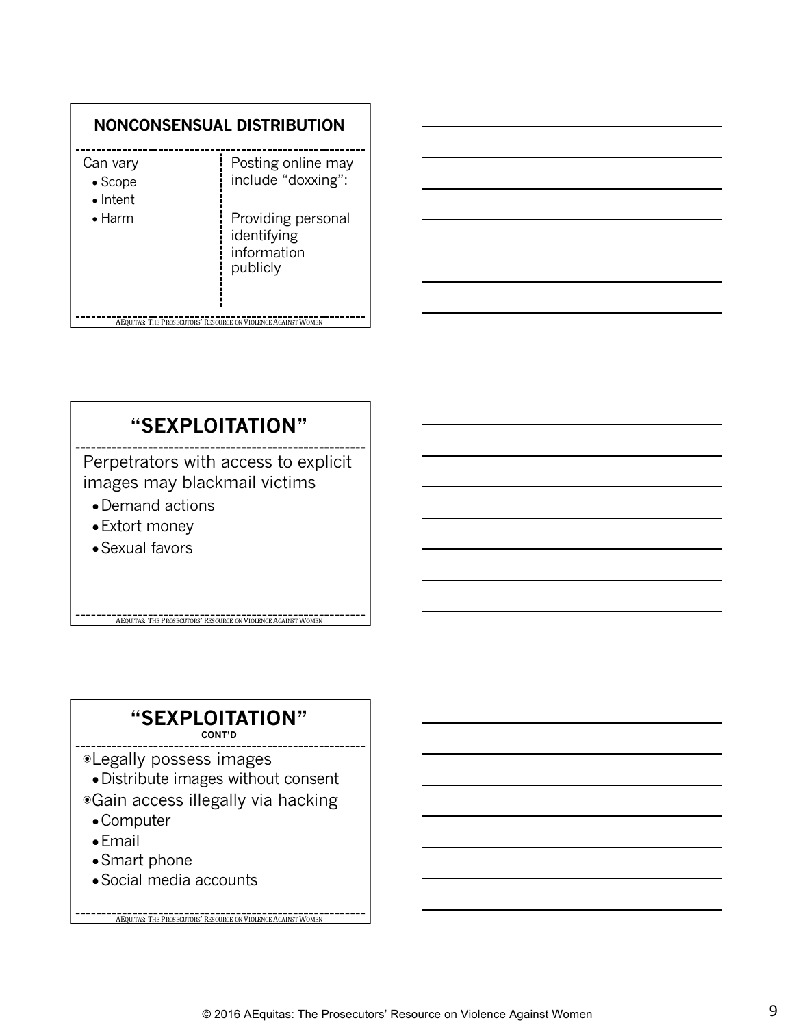| <b>NONCONSENSUAL DISTRIBUTION</b>                             |                                                              |
|---------------------------------------------------------------|--------------------------------------------------------------|
| Can vary<br>$\bullet$ Scope<br>$\bullet$ Intent               | Posting online may<br>include "doxxing":                     |
| $\bullet$ Harm                                                | Providing personal<br>identifying<br>information<br>publicly |
| AEQUITAS: THE PROSECUTORS' RESOURCE ON VIOLENCE AGAINST WOMEN |                                                              |



### **"SEXPLOITATION"**

Perpetrators with access to explicit images may blackmail victims

- Demand actions
- Extort money
- Sexual favors

#### **"SEXPLOITATION" CONT'D**

**AEQUITAS:** THE PROSECUTORS' RESOURCE ON VIOLENCE AGAINST WOMEN

◉Legally possess images

- ●Distribute images without consent
- ◉Gain access illegally via hacking

- ●Computer
- ●Email
- ●Smart phone
- ●Social media accounts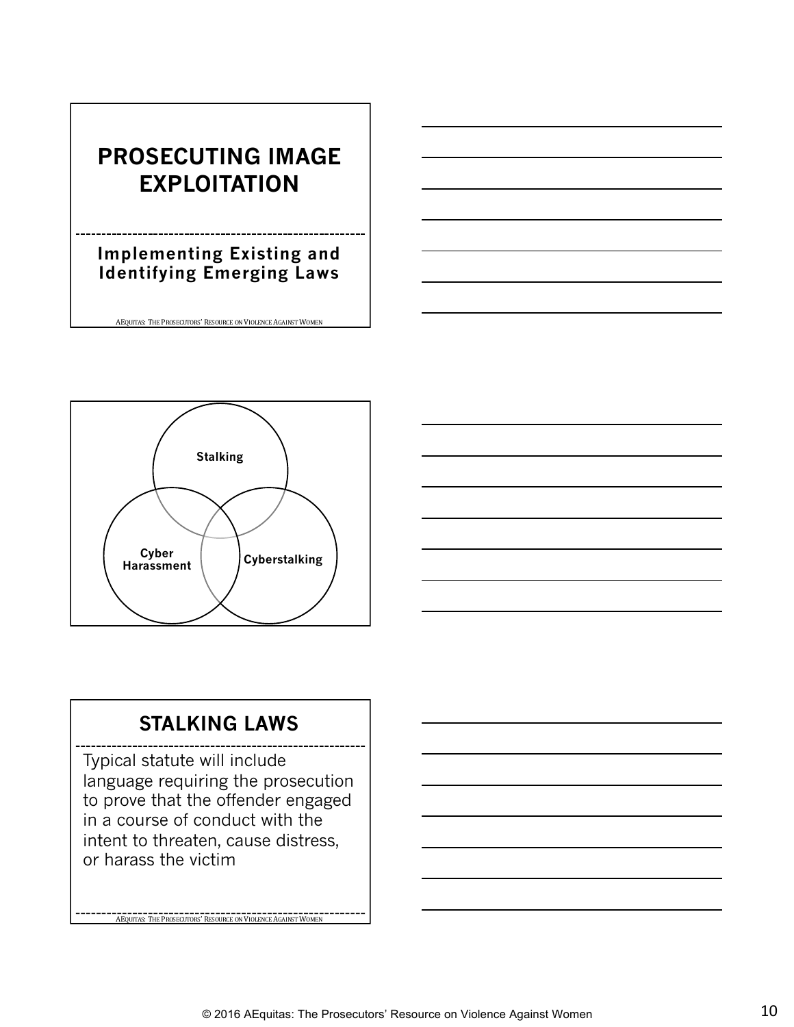# **PROSECUTING IMAGE EXPLOITATION**

#### **Implementing Existing and Identifying Emerging Laws**

AEQUITAS: THE PROSECUTORS' RESOURCE ON VIOLENCE AGAINST WOMEN





## **STALKING LAWS**

Typical statute will include language requiring the prosecution to prove that the offender engaged in a course of conduct with the intent to threaten, cause distress, or harass the victim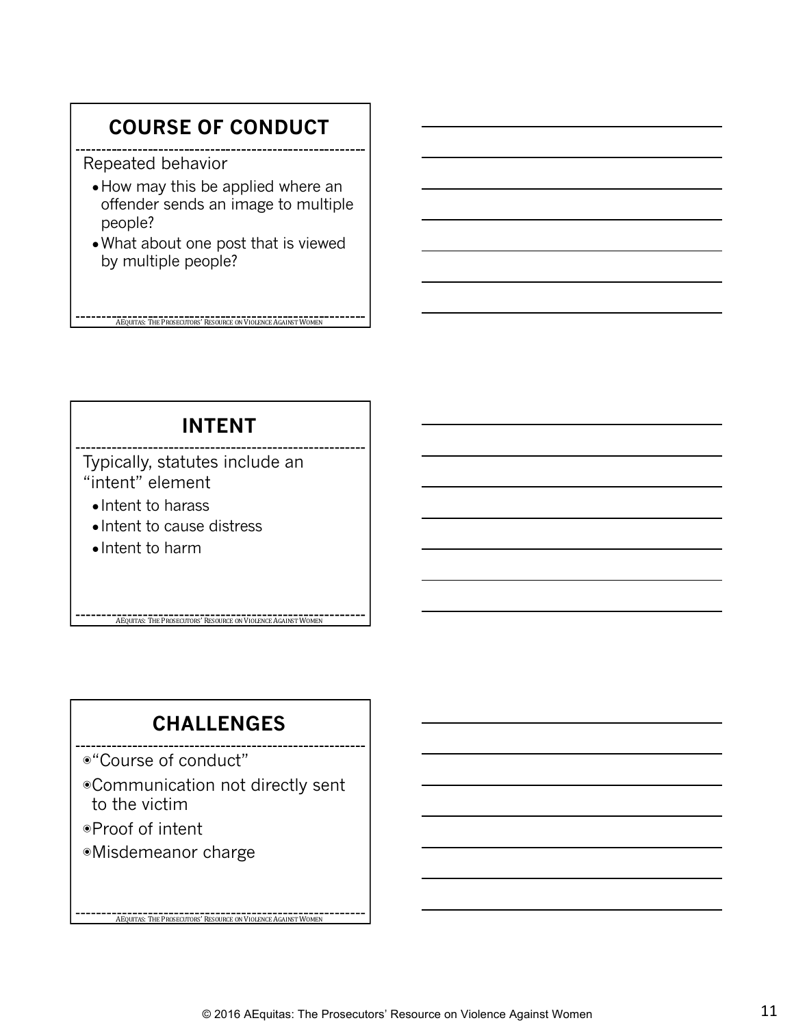# **COURSE OF CONDUCT**

Repeated behavior

- How may this be applied where an offender sends an image to multiple people?
- ●What about one post that is viewed by multiple people?

AEQUITAS: THE PROSECUTORS' RESOURCE ON VIOLENCE AGAINST WOMEN

### **INTENT**

Typically, statutes include an "intent" element

- ●Intent to harass
- ●Intent to cause distress
- ●Intent to harm

## **CHALLENGES**

**AEQUITAS:** THE PROSECUTORS' RESOURCE ON VIOLENCE AGAINST WOMEN

◉"Course of conduct"

◉Communication not directly sent to the victim

- ◉Proof of intent
- ◉Misdemeanor charge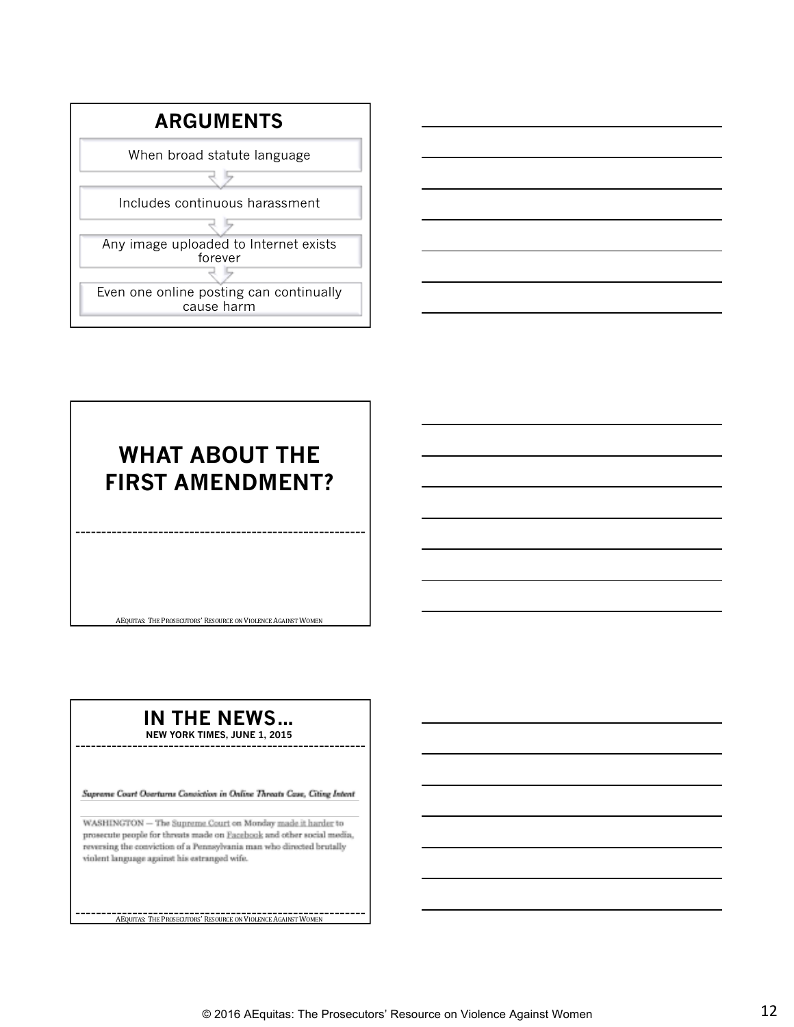



#### **IN THE NEWS… NEW YORK TIMES, JUNE 1, 2015**

AEQUITAS: THE PROSECUTORS' RESOURCE ON VIOLENCE AGAINST WOMEN

Supreme Coart Ocerturns Consiction in Online Threats Case, Citing Intent

WASHINGTON - The Supreme Court on Monday made it harder to prosecute people for threats made on Facebook and other social media, reversing the conviction of a Pennsylvania man who directed brutally violent language against his estranged wife.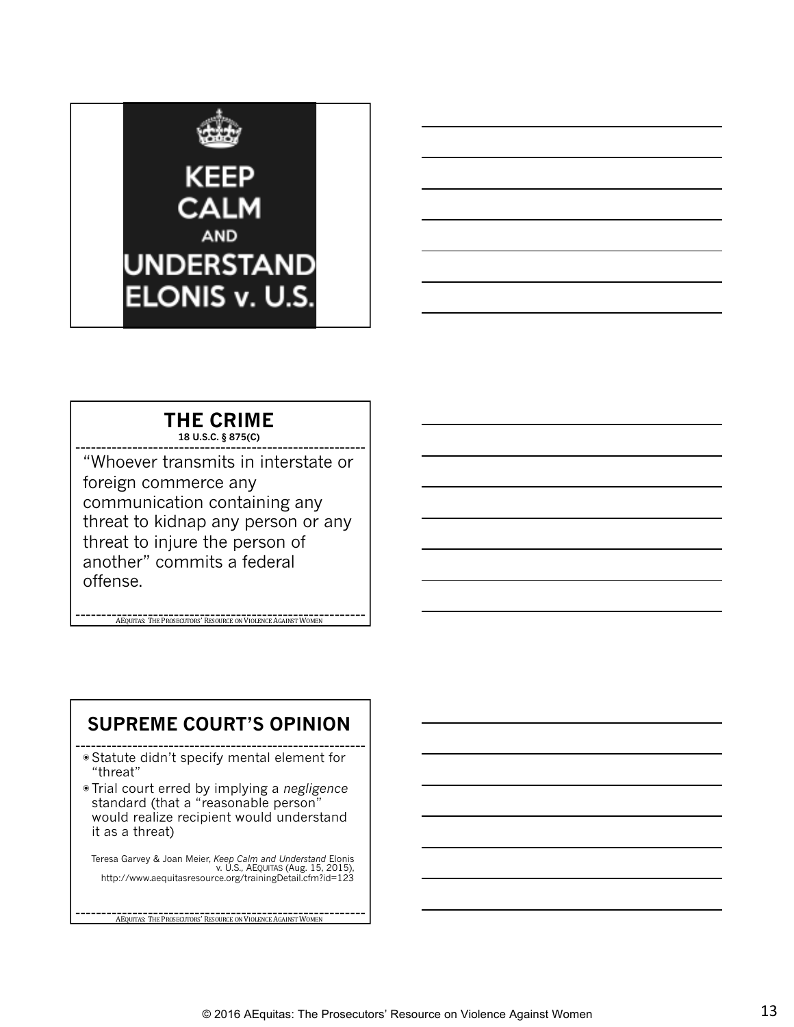



## **THE CRIME**

**18 U.S.C. § 875(C)** 

"Whoever transmits in interstate or foreign commerce any communication containing any threat to kidnap any person or any threat to injure the person of another" commits a federal offense.

#### **SUPREME COURT'S OPINION**

**AEQUITAS: THE PROSECUTORS' RESOURCE ON VIOLENCE AGAINST WOMEN** 

- ◉ Statute didn't specify mental element for "threat"
- ◉ Trial court erred by implying a *negligence* standard (that a "reasonable person" would realize recipient would understand it as a threat)

Teresa Garvey & Joan Meier, *Keep Calm and Understand* Elonis v. U.S*.,* AEQUITAS (Aug. 15, 2015), http://www.aequitasresource.org/trainingDetail.cfm?id=123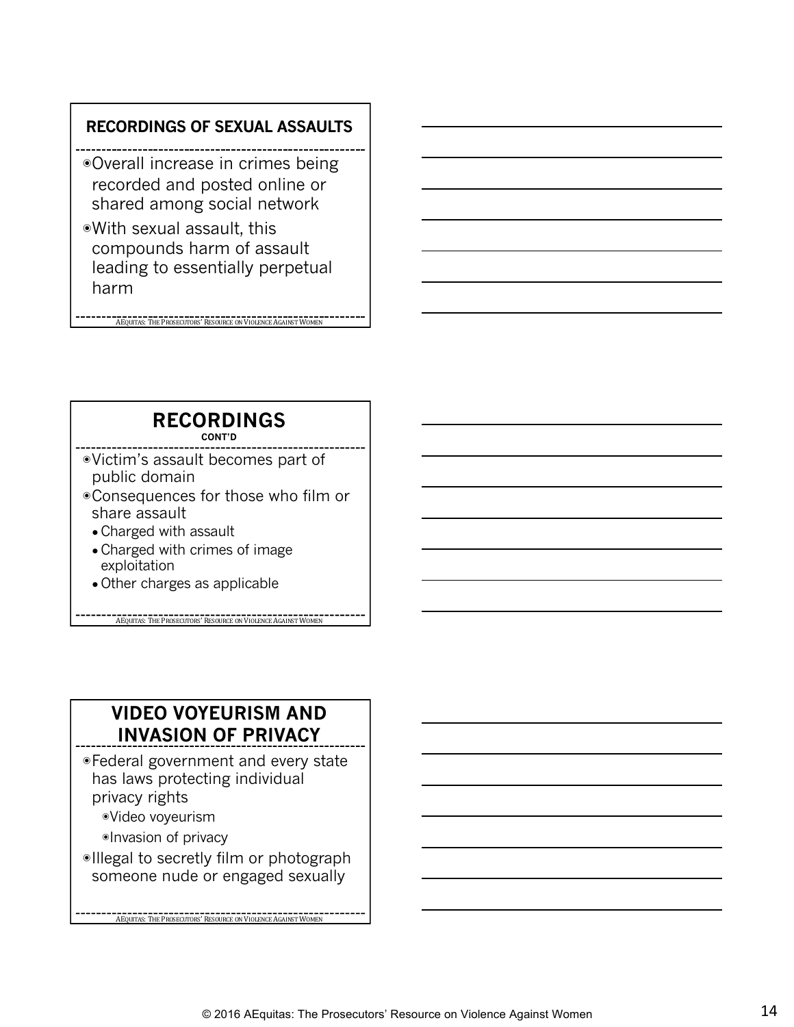#### **RECORDINGS OF SEXUAL ASSAULTS**

- ◉Overall increase in crimes being recorded and posted online or shared among social network
- ◉With sexual assault, this compounds harm of assault leading to essentially perpetual harm

AEQUITAS: THE PROSECUTORS' RESOURCE ON VIOLENCE AGAINST WOMEN

### **RECORDINGS**

**CONT'D**

- ◉Victim's assault becomes part of public domain
- ◉Consequences for those who film or share assault

**AEQUITAS:** THE PROSECUTORS' RESOURCE ON VIOLENCE AGAINST WOMEN

- Charged with assault
- Charged with crimes of image exploitation
- Other charges as applicable

#### **VIDEO VOYEURISM AND INVASION OF PRIVACY**

- ◉Federal government and every state has laws protecting individual privacy rights ◉Video voyeurism
	- ◉Invasion of privacy
- ◉Illegal to secretly film or photograph someone nude or engaged sexually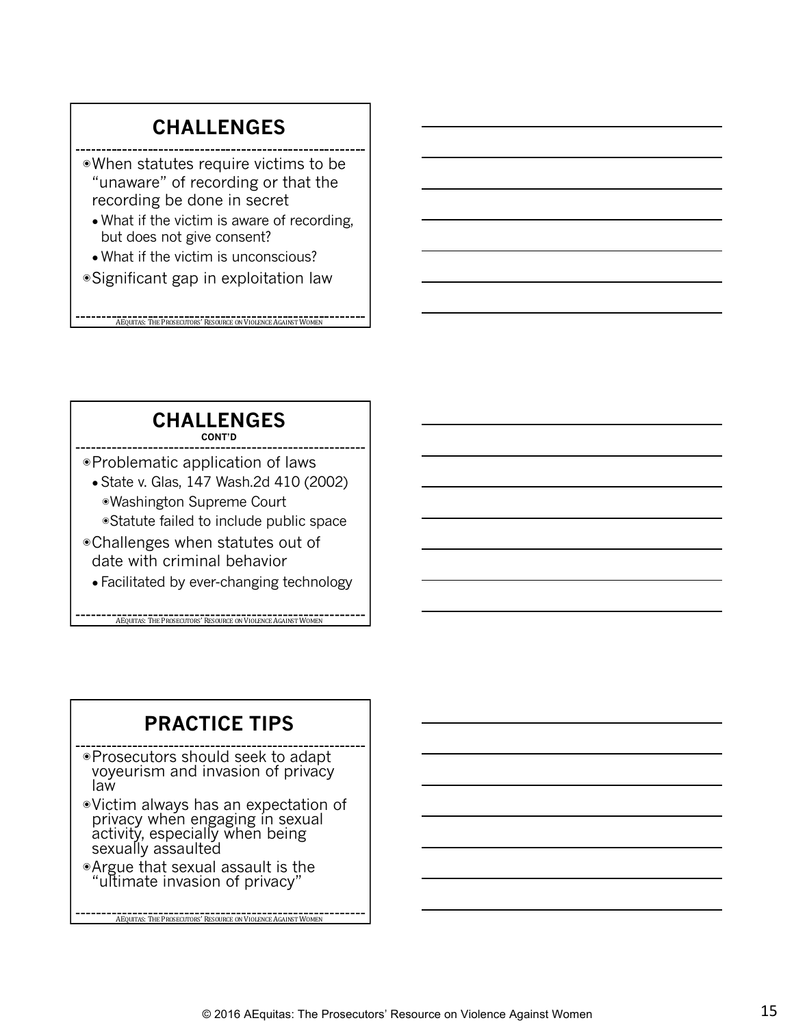## **CHALLENGES**

- ◉When statutes require victims to be "unaware" of recording or that the recording be done in secret
	- What if the victim is aware of recording, but does not give consent?
	- What if the victim is unconscious?
- ◉Significant gap in exploitation law

**AEQUITAS: THE PROSECUTORS' RESOURCE ON VIOLENCE AGAINST WOMEN** 

#### **CHALLENGES CONT'D**

◉Problematic application of laws

- State v. Glas, 147 Wash.2d 410 (2002) ◉Washington Supreme Court ◉Statute failed to include public space
- ◉Challenges when statutes out of date with criminal behavior
	- Facilitated by ever-changing technology

**AEQUITAS: THE PROSECUTORS' RESOURCE ON VIOLENCE AGAINST WOMEN** 

## **PRACTICE TIPS**

◉Prosecutors should seek to adapt voyeurism and invasion of privacy law

◉Victim always has an expectation of privacy when engaging in sexual activity, especially when being sexually assaulted

**AEQUITAS: THE PROSECUTORS' RESOURCE ON VIOLENCE AGAINST WOMEN** 

◉Argue that sexual assault is the "ultimate invasion of privacy"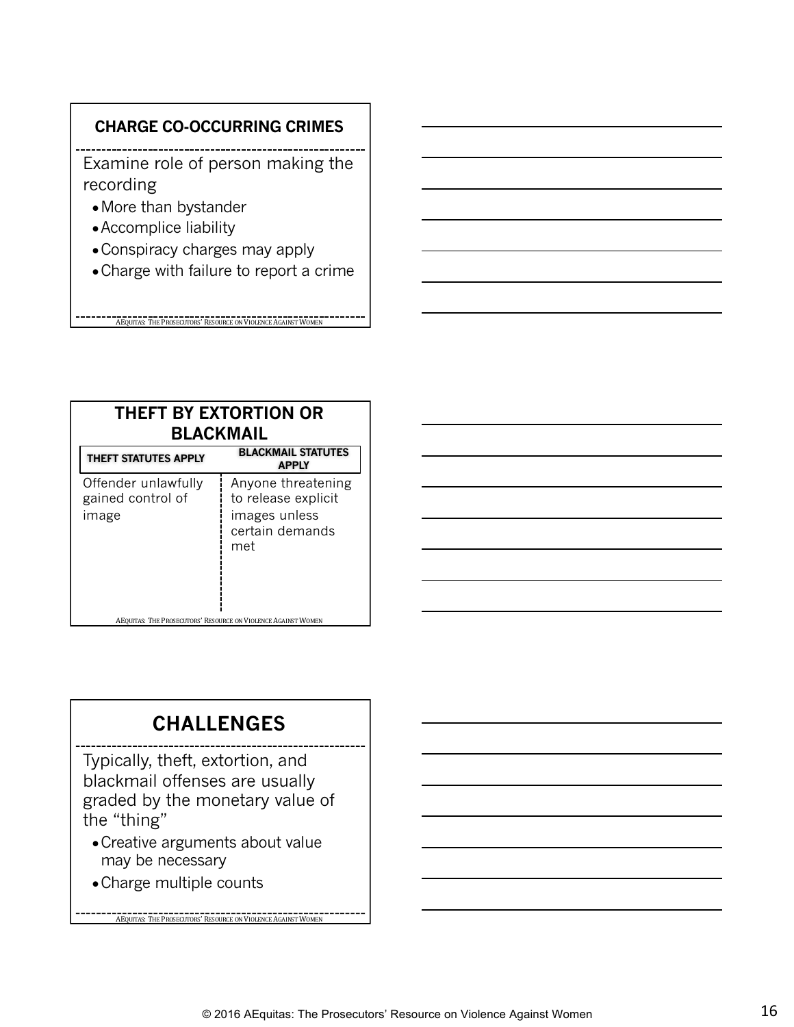#### **CHARGE CO-OCCURRING CRIMES**

Examine role of person making the recording

- ●More than bystander
- ●Accomplice liability
- Conspiracy charges may apply
- Charge with failure to report a crime

AEQUITAS: THE PROSECUTORS' RESOURCE ON VIOLENCE AGAINST WOMEN

| <b>THEFT BY EXTORTION OR</b><br><b>BLACKMAIL</b>              |                                                                                      |  |
|---------------------------------------------------------------|--------------------------------------------------------------------------------------|--|
| THEFT STATUTES APPLY                                          | <b>BLACKMAIL STATUTES</b><br><b>APPLY</b>                                            |  |
| Offender unlawfully<br>gained control of<br>image             | Anyone threatening<br>to release explicit<br>images unless<br>certain demands<br>met |  |
| AEQUITAS: THE PROSECUTORS' RESOURCE ON VIOLENCE AGAINST WOMEN |                                                                                      |  |



### **CHALLENGES**

Typically, theft, extortion, and blackmail offenses are usually graded by the monetary value of the "thing"

• Creative arguments about value may be necessary

**AEQUITAS:** THE PROSECUTORS' RESOURCE ON VIOLENCE AGAINST WOMEN

• Charge multiple counts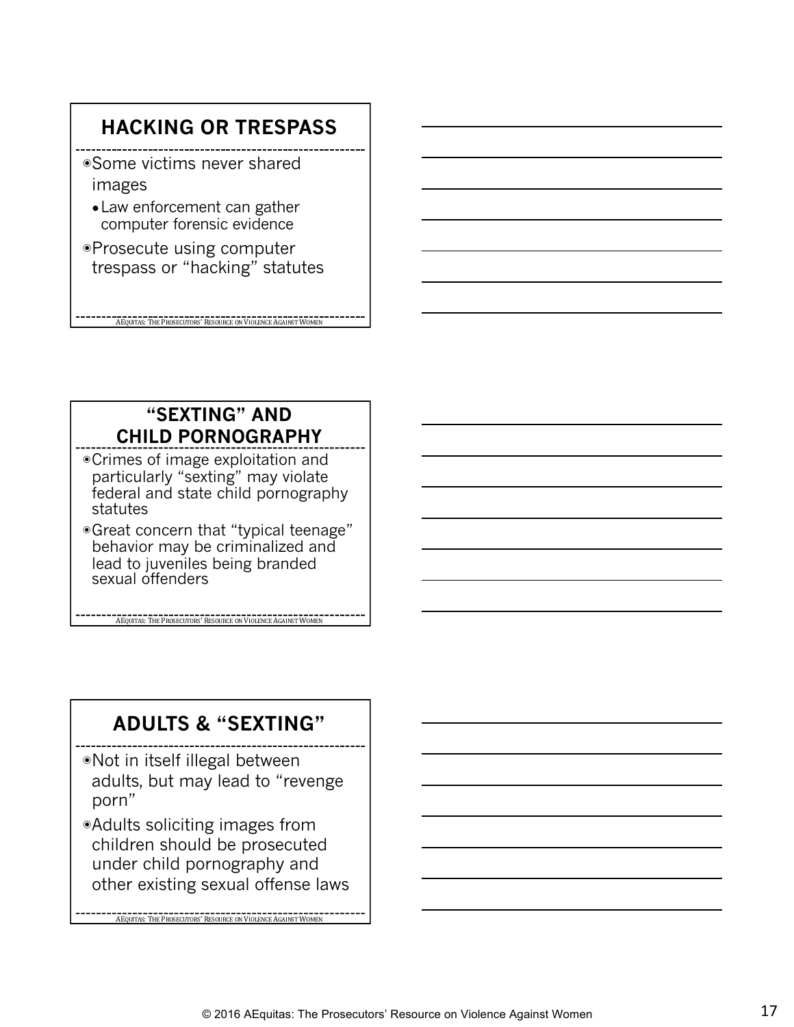# **HACKING OR TRESPASS**

- ◉Some victims never shared images
	- Law enforcement can gather computer forensic evidence
- ◉Prosecute using computer trespass or "hacking" statutes

**AEQUITAS:** THE PROSECUTORS' RESOURCE ON VIOLENCE AGAINST WOMEN

**"SEXTING" AND CHILD PORNOGRAPHY**

- ◉Crimes of image exploitation and particularly "sexting" may violate federal and state child pornography statutes
- ◉Great concern that "typical teenage" behavior may be criminalized and lead to juveniles being branded sexual offenders

**AEQUITAS:** THE PROSECUTORS' RESOURCE ON VIOLENCE AGAINST WOMEN

## **ADULTS & "SEXTING"**

- ◉Not in itself illegal between adults, but may lead to "revenge porn"
- ◉Adults soliciting images from children should be prosecuted under child pornography and other existing sexual offense laws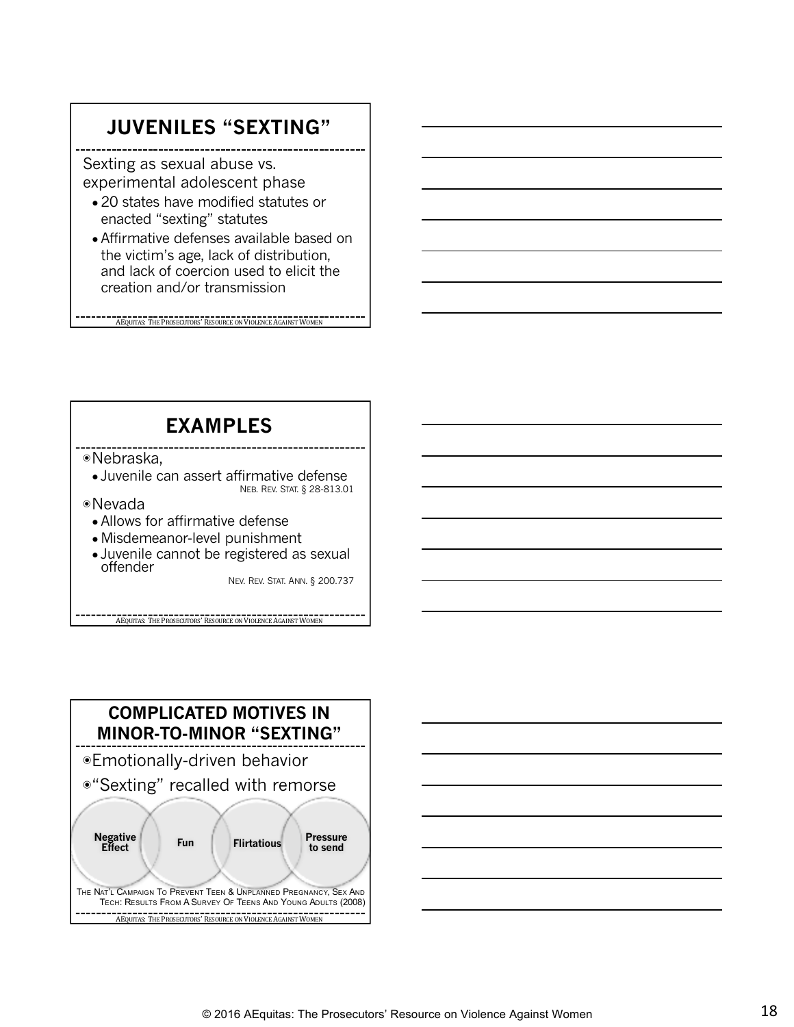## **JUVENILES "SEXTING"**

Sexting as sexual abuse vs. experimental adolescent phase

- 20 states have modified statutes or enacted "sexting" statutes
- ●Affirmative defenses available based on the victim's age, lack of distribution, and lack of coercion used to elicit the creation and/or transmission

**AEQUITAS:** THE PROSECUTORS' RESOURCE ON VIOLENCE AGAINST WOMEN

#### **EXAMPLES**

◉Nebraska,

- Juvenile can assert affirmative defense
- NEB. REV. STAT. § 28-813.01 ◉Nevada
	- Allows for affirmative defense
	- Misdemeanor-level punishment
	- Juvenile cannot be registered as sexual offender

**AEQUITAS: THE PROSECUTORS' RESOURCE ON VIOLENCE AGAINST WOMEN** 

NEV. REV. STAT. ANN. § 200.737



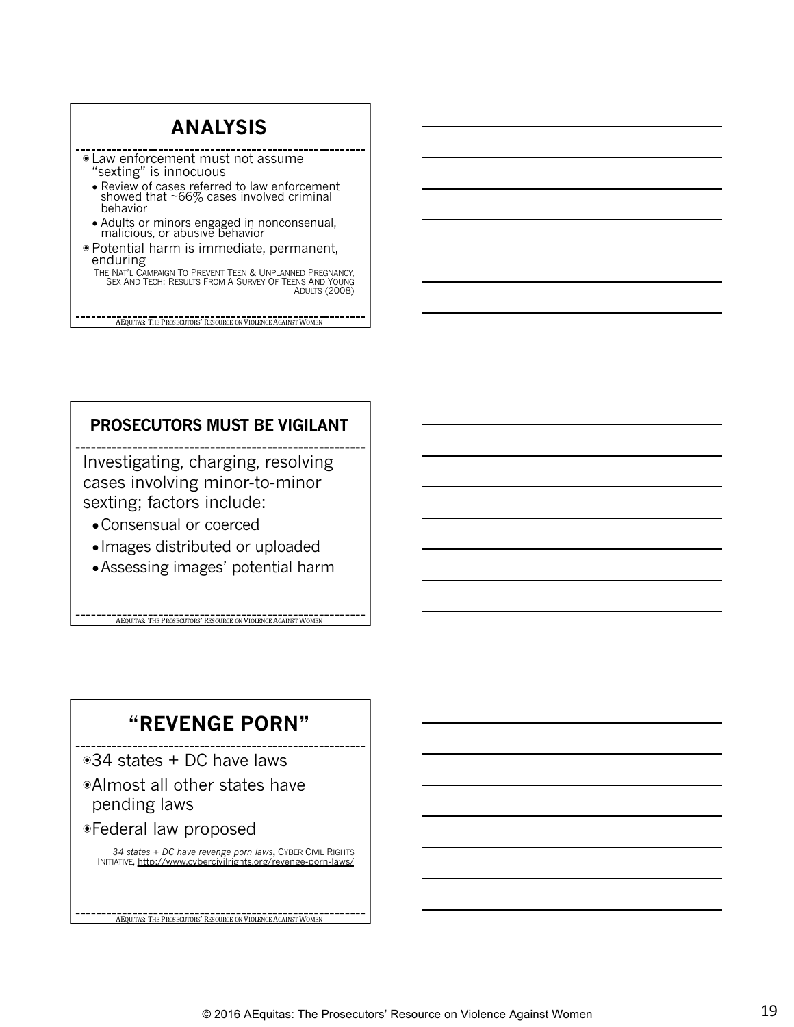### **ANALYSIS**

- ◉ Law enforcement must not assume "sexting" is innocuous
	- Review of cases referred to law enforcement showed that  $\sim$ 66 $\%$  cases involved criminal behavior
	- Adults or minors engaged in nonconsenual, malicious, or abusive behavior
- ◉ Potential harm is immediate, permanent, enduring
	- THE NAT'L CAMPAIGN TO PREVENT TEEN & UNPLANNED PREGNANCY, SEX AND TECH: RESULTS FROM A SURVEY OF TEENS AND YOUNG ADULTS (2008)

**ACCULTAS:** THE PROSECUTORS' RESOURCE ON VIOLENCE AGAINST WOMEN AFTER PROSECUTORS' RESOURCE ON VIOLENCE AGAINST WOMEN

#### **PROSECUTORS MUST BE VIGILANT**

Investigating, charging, resolving cases involving minor-to-minor sexting; factors include:

- ●Consensual or coerced
- ●Images distributed or uploaded
- ●Assessing images' potential harm

**ACQUITAS:** THE PROSECUTORS' RESOURCE ON VIOLENCE AGAINST WOMEN

#### **"REVENGE PORN"**

◉34 states + DC have laws

- ◉Almost all other states have pending laws
- ◉Federal law proposed

*34 states + DC have revenge porn laws***,** CYBER CIVIL RIGHTS INITIATIVE, http://www.cybercivilrights.org/revenge-porn-laws/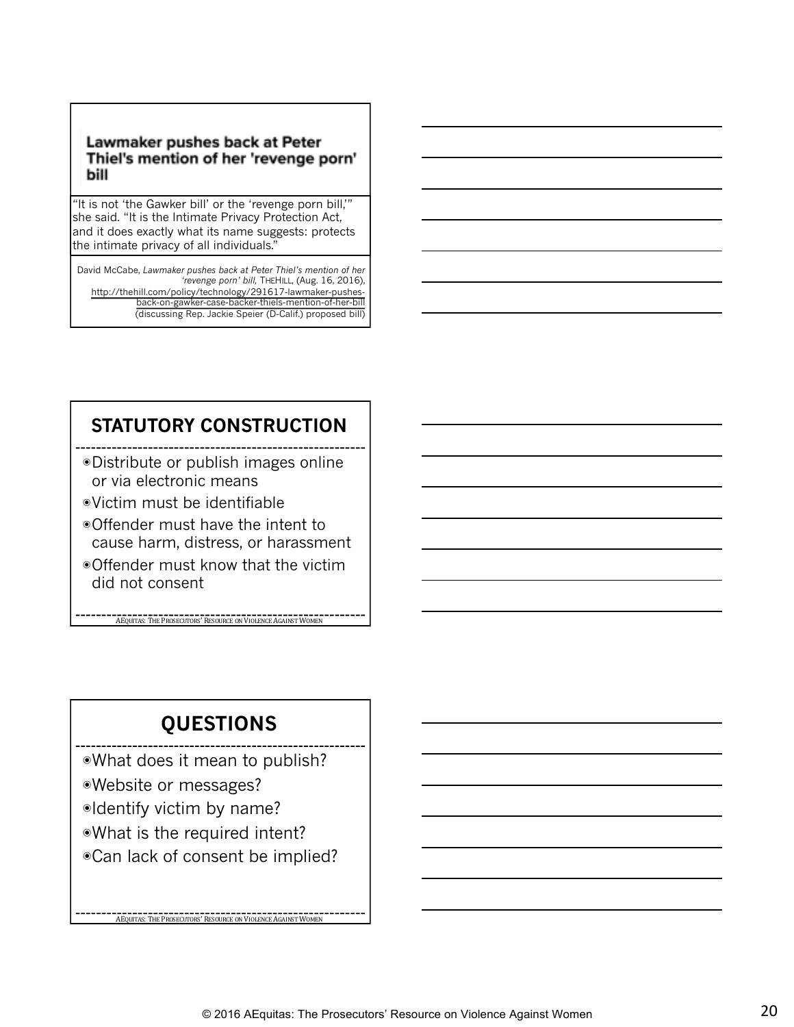#### Lawmaker pushes back at Peter Thiel's mention of her 'revenge porn' bill

"It is not 'the Gawker bill' or the 'revenge porn bill,'" she said. "It is the Intimate Privacy Protection Act, and it does exactly what its name suggests: protects the intimate privacy of all individuals."

David McCabe, *Lawmaker pushes back at Peter Thiel's mention of her 'revenge porn' bill,* THEHILL, (Aug. 16, 2016), http://thehill.com/policy/technology/291617-lawmaker-pushesback-on-gawker-case-backer-thiels-mention-of-her-bill (discussing Rep. Jackie Speier (D-Calif.) proposed bill)

### **STATUTORY CONSTRUCTION**

- ◉Distribute or publish images online or via electronic means
- ◉Victim must be identifiable
- ◉Offender must have the intent to cause harm, distress, or harassment
- ◉Offender must know that the victim did not consent

**AEQUITAS:** THE PROSECUTORS' RESOURCE ON VIOLENCE AGAINST WOMEN

## **QUESTIONS**

◉What does it mean to publish?

- ◉Website or messages?
- ◉Identify victim by name?
- ◉What is the required intent?
- ◉Can lack of consent be implied?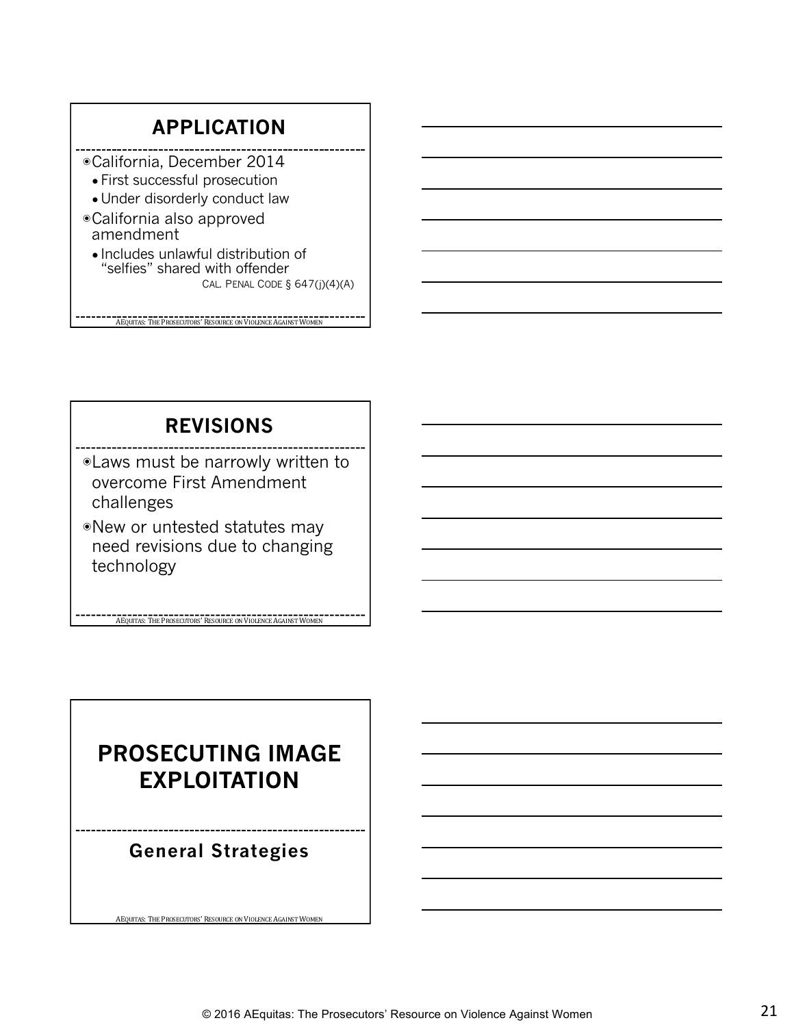## **APPLICATION**

◉California, December 2014

- First successful prosecution
- Under disorderly conduct law
- ◉California also approved amendment
	- Includes unlawful distribution of "selfies" shared with offender CAL. PENAL CODE  $\S$  647(j)(4)(A)

AEQUITAS: THE PROSECUTORS' RESOURCE ON VIOLENCE AGAINST WOMEN

## **REVISIONS**

◉Laws must be narrowly written to overcome First Amendment challenges

◉New or untested statutes may need revisions due to changing technology

**AEQUITAS: THE PROSECUTORS' RESOURCE ON VIOLENCE AGAINST WOMEN** 

## **PROSECUTING IMAGE EXPLOITATION**

**General Strategies**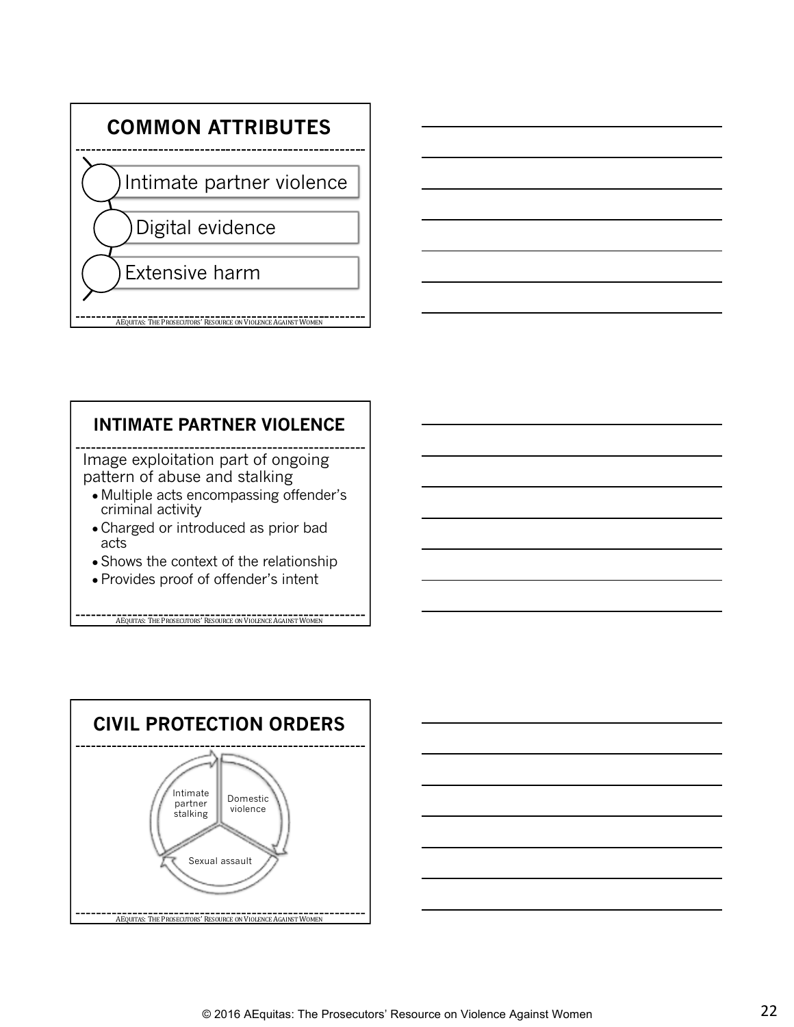

#### **INTIMATE PARTNER VIOLENCE**

Image exploitation part of ongoing pattern of abuse and stalking

- Multiple acts encompassing offender's criminal activity
- Charged or introduced as prior bad acts
- Shows the context of the relationship

AEQUITAS: THE PROSECUTORS' RESOURCE ON VIOLENCE AGAINST WOMEN

●Provides proof of offender's intent



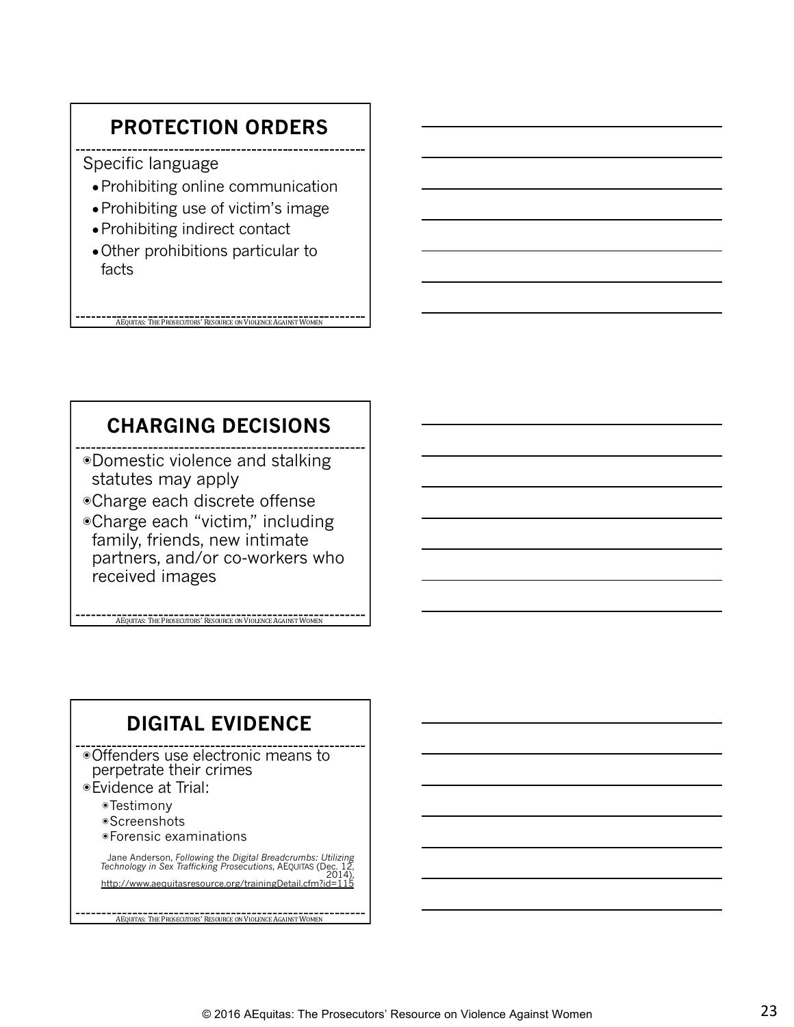## **PROTECTION ORDERS**

Specific language

- ●Prohibiting online communication
- ●Prohibiting use of victim's image
- ●Prohibiting indirect contact
- ●Other prohibitions particular to facts

**CHARGING DECISIONS**

**AEQUITAS: THE PROSECUTORS' RESOURCE ON VIOLENCE AGAINST WOMEN** 

- ◉Domestic violence and stalking statutes may apply
- ◉Charge each discrete offense
- ◉Charge each "victim," including family, friends, new intimate partners, and/or co-workers who received images

**ACQUITAS:** THE PROSECUTORS' RESOURCE ON VIOLENCE AGAINST WOMEN

## **DIGITAL EVIDENCE**

◉Offenders use electronic means to perpetrate their crimes

- ◉Evidence at Trial:
	- ◉Testimony
	- ◉Screenshots
	- ◉Forensic examinations

Jane Anderson, *Following the Digital Breadcrumbs: Utilizing Technology in Sex Trafficking Prosecutions*, AEQUITAS (Dec. 12, 2014), http://www.aequitasresource.org/trainingDetail.cfm?id=11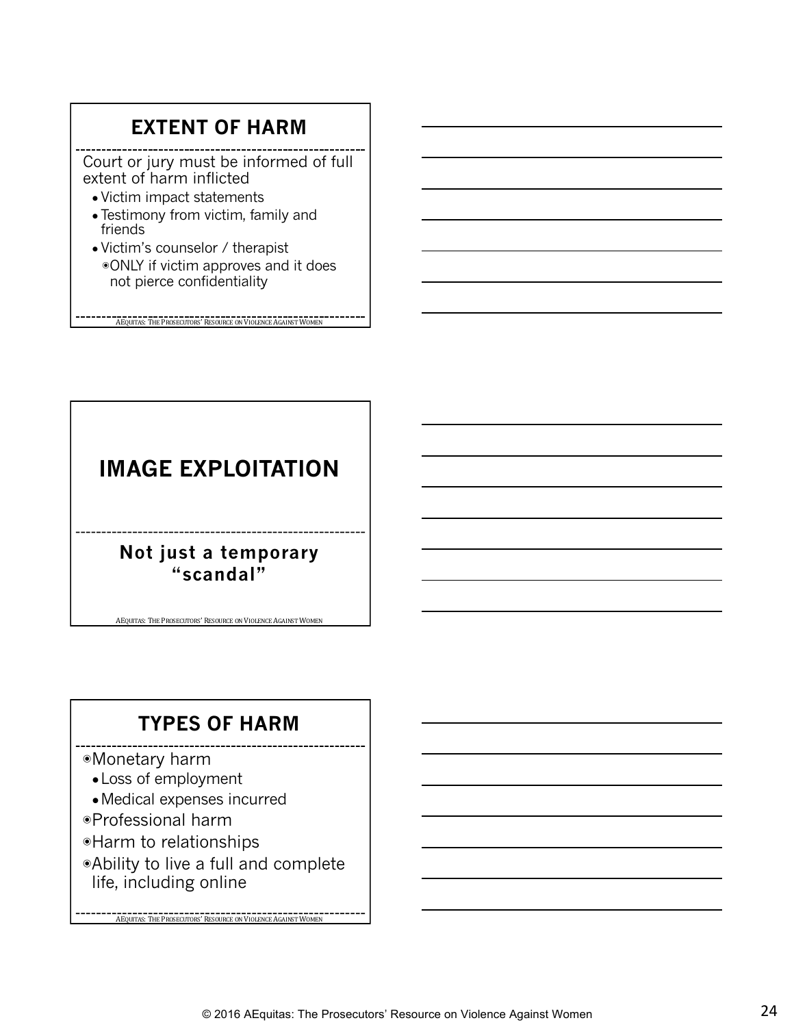# **EXTENT OF HARM**

Court or jury must be informed of full extent of harm inflicted

- Victim impact statements
- Testimony from victim, family and friends
- Victim's counselor / therapist ◉ONLY if victim approves and it does not pierce confidentiality

**AEQUITAS:** THE PROSECUTORS' RESOURCE ON VIOLENCE AGAINST WOMEN

## **IMAGE EXPLOITATION**

#### **Not just a temporary "scandal"**

AEQUITAS: THE PROSECUTORS' RESOURCE ON VIOLENCE AGAINST WOMEN

**TYPES OF HARM**

◉Monetary harm

- ●Loss of employment
- ●Medical expenses incurred
- ◉Professional harm
- ◉Harm to relationships
- ◉Ability to live a full and complete life, including online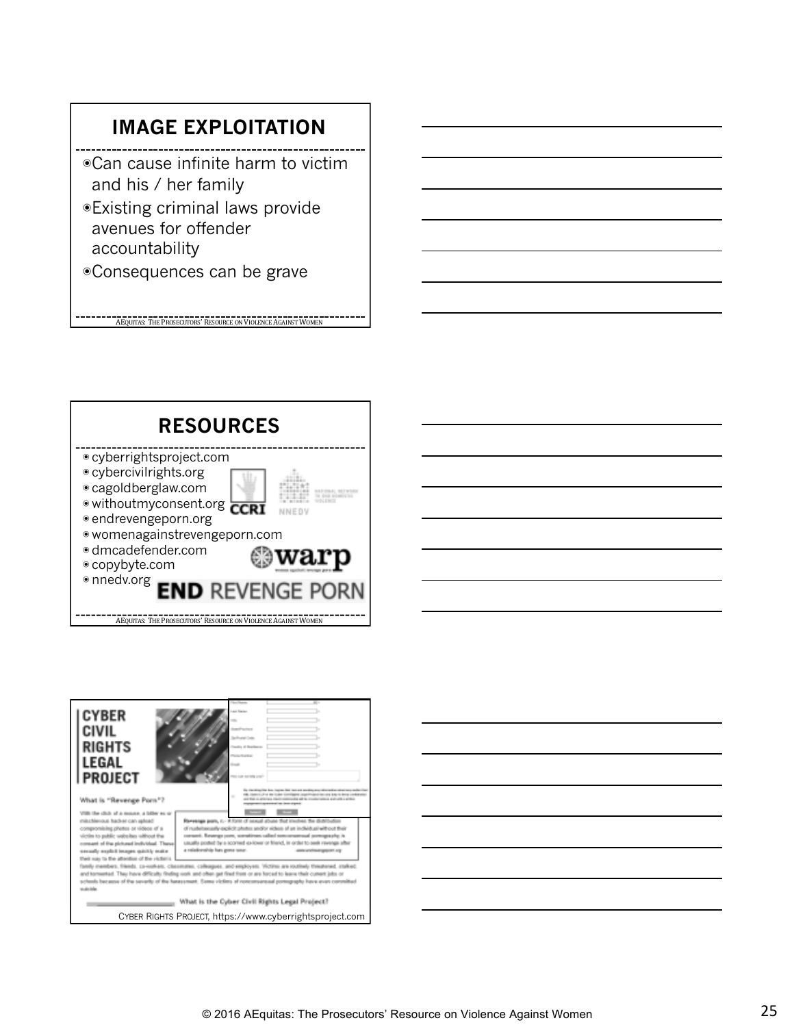## **IMAGE EXPLOITATION**

- ◉Can cause infinite harm to victim and his / her family
- ◉Existing criminal laws provide avenues for offender accountability
- ◉Consequences can be grave

**AEQUITAS:** THE PROSECUTORS' RESOURCE ON VIOLENCE AGAINST WOMEN

**RESOURCES** ◉ cyberrightsproject.com ◉ cybercivilrights.org ◉ cagoldberglaw.com satona, arresto<br>la ded pomorisi<br>voltimo ● withoutmyconsent.org **CCRI** NNEDV ◉ endrevengeporn.org ◉ womenagainstrevengeporn.com ◉ dmcadefender.com ◉ copybyte.com **e** nnedv.org **END** REVENGE PORN **AEQUITAS: THE PROSECUTORS' RESOURCE ON VIOLENCE AGAINST WOMEN**